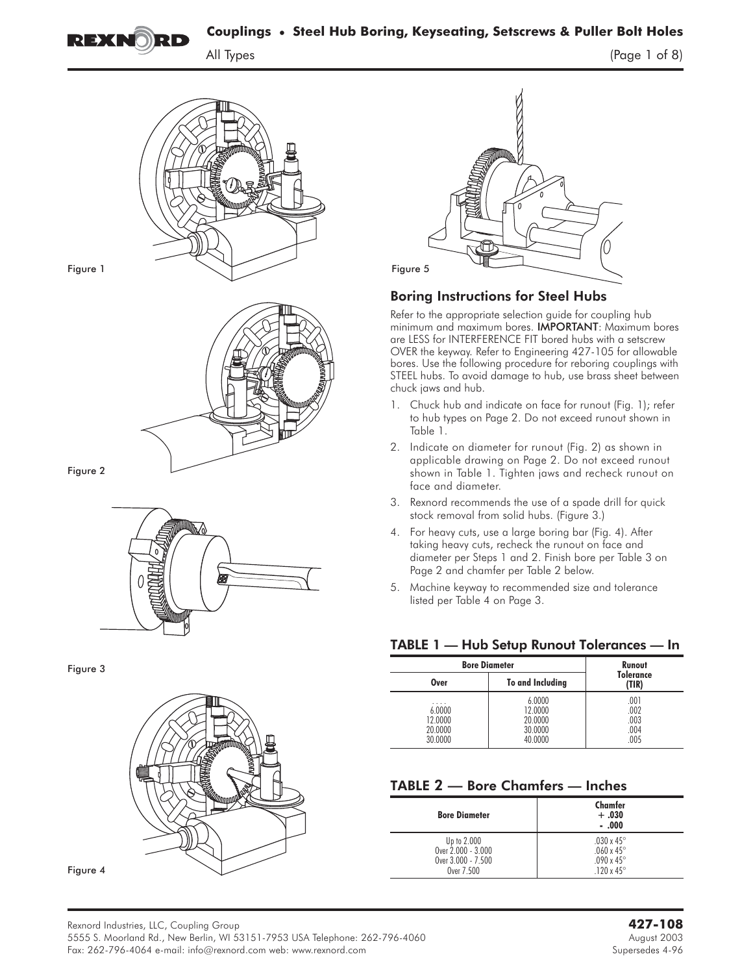



Figure 1



 $\mathcal{F}$ 



Figure 3





 $(Page 1 of 8)$ 

# Boring Instructions for Steel Hubs

Refer to the appropriate selection guide for coupling hub minimum and maximum bores. IMPORTANT**:** Maximum bores are LESS for INTERFERENCE FIT bored hubs with a setscrew OVER the keyway. Refer to Engineering 427-105 for allowable bores. Use the following procedure for reboring couplings with STEEL hubs. To avoid damage to hub, use brass sheet between chuck jaws and hub.

- 1. Chuck hub and indicate on face for runout (Fig. 1); refer to hub types on Page 2. Do not exceed runout shown in Table 1.
- 2. Indicate on diameter for runout (Fig. 2) as shown in applicable drawing on Page 2. Do not exceed runout shown in Table 1. Tighten jaws and recheck runout on face and diameter.
- 3. Rexnord recommends the use of a spade drill for quick stock removal from solid hubs. (Figure 3.)
- 4. For heavy cuts, use a large boring bar (Fig. 4). After taking heavy cuts, recheck the runout on face and diameter per Steps 1 and 2. Finish bore per Table 3 on Page 2 and chamfer per Table 2 below.
- 5. Machine keyway to recommended size and tolerance listed per Table 4 on Page 3.

# TABLE 1 — Hub Setup Runout Tolerances — In

| <b>Bore Diameter</b>                         | Runout                                             |                                      |
|----------------------------------------------|----------------------------------------------------|--------------------------------------|
| Over                                         | To and Including                                   | <b>Tolerance</b><br>(TIR)            |
| .<br>6.0000<br>12.0000<br>20,0000<br>30.0000 | 6.0000<br>12.0000<br>20,0000<br>30.0000<br>40.0000 | .001<br>.002<br>.003<br>.004<br>.005 |

# TABLE **2 — Bore Chamfers — Inches**

| <b>Bore Diameter</b> | Chamfer<br>$+.030$<br>$-.000$ |
|----------------------|-------------------------------|
| Up to 2.000          | .030 x 45 $^{\circ}$          |
| Over 2.000 - 3.000   | .060 x 45 $^{\circ}$          |
| Over 3.000 - 7.500   | $.090 \times 45^{\circ}$      |
| Over 7.500           | .120 x 45 $^{\circ}$          |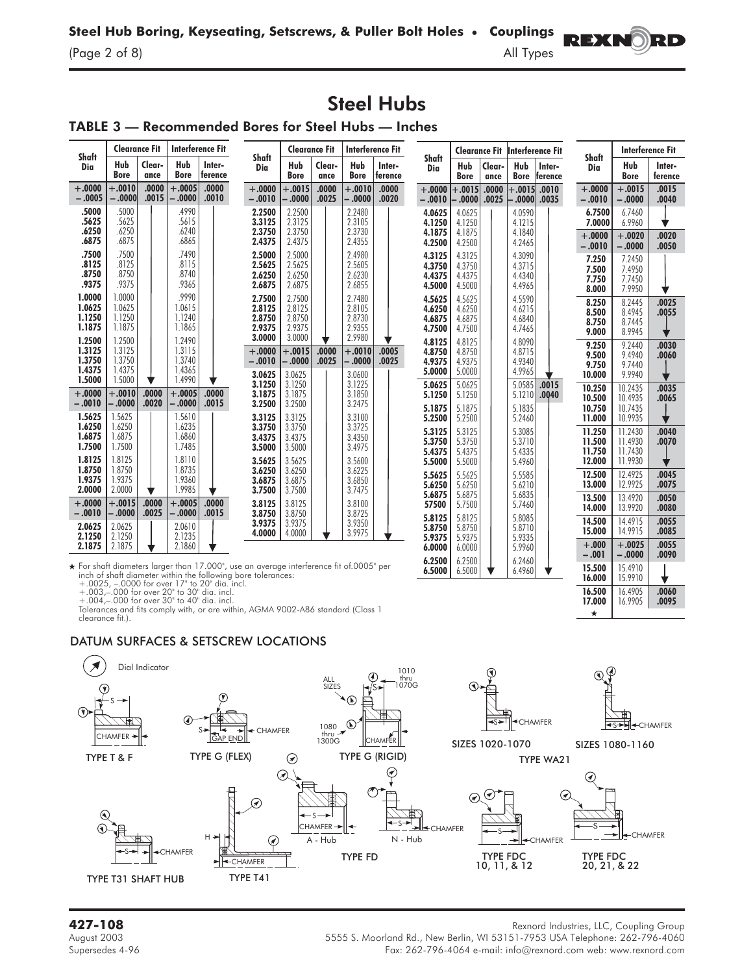$(Page 2 of 8)$ 

# Steel Hubs

# TABLE 3 — Recommended Bores for Steel Hubs — Inches

|                                                | <b>Clearance Fit</b>                           |                |                                                | Interference Fit                                                                               |                                                                                                                                                               | <b>Clearance Fit</b>                     |                |                                          | <b>Interference Fit</b> |                                      |                                      |                | Clearance Fit  Interference Fit      |                   |                                   |                                      | Interference Fit        |
|------------------------------------------------|------------------------------------------------|----------------|------------------------------------------------|------------------------------------------------------------------------------------------------|---------------------------------------------------------------------------------------------------------------------------------------------------------------|------------------------------------------|----------------|------------------------------------------|-------------------------|--------------------------------------|--------------------------------------|----------------|--------------------------------------|-------------------|-----------------------------------|--------------------------------------|-------------------------|
| Shaft<br>Dia                                   | Hub<br><b>Bore</b>                             | Clear-<br>ance | Hub<br><b>Bore</b>                             | Inter-<br>ference                                                                              | Shaft<br>Dia                                                                                                                                                  | Hub<br><b>Bore</b>                       | Clear-<br>ance | Hub<br><b>Bore</b>                       | Inter-<br>ference       | Shaft<br>Dia                         | Hub<br><b>Bore</b>                   | Clear-<br>ance | <b>Hub</b><br><b>Bore</b>            | Inter-<br>ference | Shaft<br>Dia                      | Hub<br><b>Bore</b>                   | Inter-<br>ference       |
| $+.0000$<br>$-.0005$                           | $+.0010$<br>$-.0000$                           | .0000<br>.0015 | $+.0005$<br>$-0000$                            | .0000<br>.0010                                                                                 | $+.0000$<br>$-.0010$                                                                                                                                          | $+.0015$<br>$-.0000$                     | .0000<br>.0025 | $+.0010$<br>$-.0000$                     | .0000<br>.0020          | $+.0000 +$<br>$-.0010$               | $+.0015$<br>$-0.000$                 | .0000<br>.0025 | $+.0015-.0010$<br>$ -.0000 .0035$    |                   | $+.0000$<br>$-.0010$              | $+.0015$<br>$-.0000$                 | .0015<br>.0040          |
| .5000<br>.5625<br>.6250                        | .5000<br>.5625<br>.6250                        |                | .4990<br>.5615<br>.6240                        |                                                                                                | 2.2500<br>3.3125<br>2.3750                                                                                                                                    | 2.2500<br>2.3125<br>2.3750               |                | 2.2480<br>2.3105<br>2.3730               |                         | 4.0625<br>4.1250<br>4.1875           | 4.0625<br>4.1250<br>4.1875           |                | 4.0590<br>4.1215<br>4.1840           |                   | 6.7500<br>7.0000                  | 6.7460<br>6.9960                     |                         |
| .6875                                          | .6875                                          |                | .6865                                          |                                                                                                | 2.4375                                                                                                                                                        | 2.4375                                   |                | 2.4355                                   |                         | 4.2500                               | 4.2500                               |                | 4.2465                               |                   | $+.0000$<br>$-.0010$              | $+.0020$<br>$-.0000$                 | .0020<br>.0050          |
| .7500<br>.8125<br>.8750<br>.9375               | .7500<br>.8125<br>.8750<br>.9375               |                | .7490<br>.8115<br>.8740<br>.9365               |                                                                                                | 2.5000<br>2.5625<br>2.6250<br>2.6875                                                                                                                          | 2.5000<br>2.5625<br>2.6250<br>2.6875     |                | 2.4980<br>2.5605<br>2.6230<br>2.6855     |                         | 4.3125<br>4.3750<br>4.4375<br>4.5000 | 4.3125<br>4.3750<br>4.4375<br>4.5000 |                | 4.3090<br>4.3715<br>4.4340<br>4.4965 |                   | 7.250<br>7.500<br>7.750<br>8.000  | 7.2450<br>7.4950<br>7.7450<br>7.9950 |                         |
| 1.0000<br>1.0625<br>1.1250<br>1.1875           | 1.0000<br>1.0625<br>1.1250<br>1.1875           |                | .9990<br>1.0615<br>1.1240<br>1.1865            |                                                                                                | 2.7500<br>2.8125<br>2.8750<br>2.9375                                                                                                                          | 2.7500<br>2.8125<br>2.8750<br>2.9375     |                | 2.7480<br>2.8105<br>2.8730<br>2.9355     |                         | 4.5625<br>4.6250<br>4.6875<br>4.7500 | 4.5625<br>4.6250<br>4.6875<br>4.7500 |                | 4.5590<br>4.6215<br>4.6840<br>4.7465 |                   | 8.250<br>8.500<br>8.750<br>9.000  | 8.2445<br>8.4945<br>8.7445<br>8.9945 | .0025<br>.0055          |
| 1.2500<br>1.3125<br>1.3750<br>1.4375<br>1.5000 | 1.2500<br>1.3125<br>1.3750<br>1.4375<br>1.5000 |                | 1.2490<br>1.3115<br>1.3740<br>1.4365<br>1.4990 | v                                                                                              | 3.0000<br>$+.0000$<br>$-.0010$<br>3.0625                                                                                                                      | 3.0000<br>$+.0015$<br>$-.0000$<br>3.0625 | .0000<br>.0025 | 2.9980<br>$+.0010$<br>$-.0000$<br>3.0600 | .0005<br>.0025          | 4.8125<br>4.8750<br>4.9375<br>5.0000 | 4.8125<br>4.8750<br>4.9375<br>5.0000 |                | 4.8090<br>4.8715<br>4.9340<br>4.9965 |                   | 9.250<br>9.500<br>9.750<br>10.000 | 9.2440<br>9.4940<br>9.7440<br>9.9940 | .0030<br>.0060          |
| $+.0000$<br>$-.0010$                           | $+.0010$<br>$-.0000$                           | .0000<br>.0020 | $+.0005$<br>$-0.000$                           | .0000<br>.0015                                                                                 | 3.1250<br>3.1875<br>3.2500                                                                                                                                    | 3.1250<br>3.1875<br>3.2500               |                | 3.1225<br>3.1850<br>3.2475               |                         | 5.0625<br>5.1250<br>5.1875           | 5.0625<br>5.1250<br>5.1875           |                | 5.0585<br>5.1210<br>5.1835           | .0015<br>.0040    | 10.250<br>10.500<br>10.750        | 10.2435<br>10.4935<br>10.7435        | .0035<br>.0065          |
| 1.5625<br>1.6250<br>1.6875<br>1.7500           | 1.5625<br>1.6250<br>1.6875<br>1.7500           |                | 1.5610<br>1.6235<br>1.6860<br>1.7485           |                                                                                                | 3.3125<br>3.3750<br>3.4375<br>3.5000                                                                                                                          | 3.3125<br>3.3750<br>3.4375<br>3.5000     |                | 3.3100<br>3.3725<br>3.4350<br>3.4975     |                         | 5.2500<br>5.3125<br>5.3750           | 5.2500<br>5.3125<br>5.3750           |                | 5.2460<br>5.3085<br>5.3710           |                   | 11.000<br>11.250<br>11.500        | 10.9935<br>11.2430<br>11.4930        | .0040<br>.0070          |
| 1.8125                                         | 1.8125                                         |                | 1.8110                                         |                                                                                                | 3.5625                                                                                                                                                        | 3.5625                                   |                | 3.5600                                   |                         | 5.4375<br>5.5000                     | 5.4375<br>5.5000                     |                | 5.4335<br>5.4960                     |                   | 11.750<br>12.000                  | 11.7430<br>11.9930                   |                         |
| 1.8750<br>1.9375<br>2.0000                     | 1.8750<br>1.9375<br>2.0000                     |                | 1.8735<br>1.9360<br>1.9985                     |                                                                                                | 3.6250<br>3.6875<br>3.7500                                                                                                                                    | 3.6250<br>3.6875<br>3.7500               |                | 3.6225<br>3.6850<br>3.7475               |                         | 5.5625<br>5.6250<br>5.6875           | 5.5625<br>5.6250<br>5.6875           |                | 5.5585<br>5.6210<br>5.6835           |                   | 12.500<br>13.000                  | 12.4925<br>12.9925                   | .0045<br>.0075          |
| $+.0000$<br>$-.0010$                           | $+.0015$<br>$-.0000$                           | .0000<br>.0025 | $+.0005$<br>$-.0000$                           | .0000<br>.0015                                                                                 | 3.8125<br>3.8750                                                                                                                                              | 3.8125<br>3.8750                         |                | 3.8100<br>3.8725                         |                         | 57500                                | 5.7500                               |                | 5.7460                               |                   | 13.500<br>14.000                  | 13.4920<br>13.9920                   | .0050<br>.0080          |
| 2.0625<br>2.1250<br>2.1875                     | 2.0625<br>2.1250<br>2.1875                     |                | 2.0610<br>2.1235<br>2.1860                     |                                                                                                | 3.9375<br>4.0000                                                                                                                                              | 3.9375<br>4.0000                         |                | 3.9350<br>3.9975                         |                         | 5.8125<br>5.8750<br>5.9375<br>6.0000 | 5.8125<br>5.8750<br>5.9375<br>6.0000 |                | 5.8085<br>5.8710<br>5.9335<br>5.9960 |                   | 14.500<br>15.000<br>$+.000$       | 14.4915<br>14.9915<br>$+.0025$       | .0055<br>.0085<br>.0055 |
|                                                |                                                |                |                                                | $+.0025$ , $-.0000$ for over 17" to 20" dia. incl.                                             | $\star$ For shaft diameters larger than 17.000", use an average interference fit of 0005" per<br>inch of shaft diameter within the following bore tolerances: |                                          |                |                                          |                         | 6.2500<br>6.5000                     | 6.2500<br>6.5000                     |                | 6.2460<br>6.4960                     |                   | $-.001$<br>15.500<br>16.000       | $-.0000$<br>15.4910<br>15.9910       | .0090                   |
|                                                |                                                |                |                                                | $+.003$ , $-.000$ for over 20" to 30" dia. incl.<br>+.004,-.000 for over 30" to 40" dia. incl. | Tolerances and fits comply with, or are within, AGMA 9002-A86 standard (Class 1                                                                               |                                          |                |                                          |                         |                                      |                                      |                |                                      |                   | 16.500<br>17.000<br>★             | 16.4905<br>16.9905                   | .0060<br>.0095          |

with, or are within, AGMA 9002-A86 standard (Class 1 Iolerances and<br>clearance fit.).

# DATUM SURFACES & SETSCREW LOCATIONS



Rexnord Industries, LLC, Coupling Group<br>August 2003 5555 S. Moorland Rd., New Berlin, WI 53151-7953 USA Telephone: 262-796-4060 Supersedes 4-96 Fax: 262-796-4064 e-mail: info@rexnord.com web: www.rexnord.com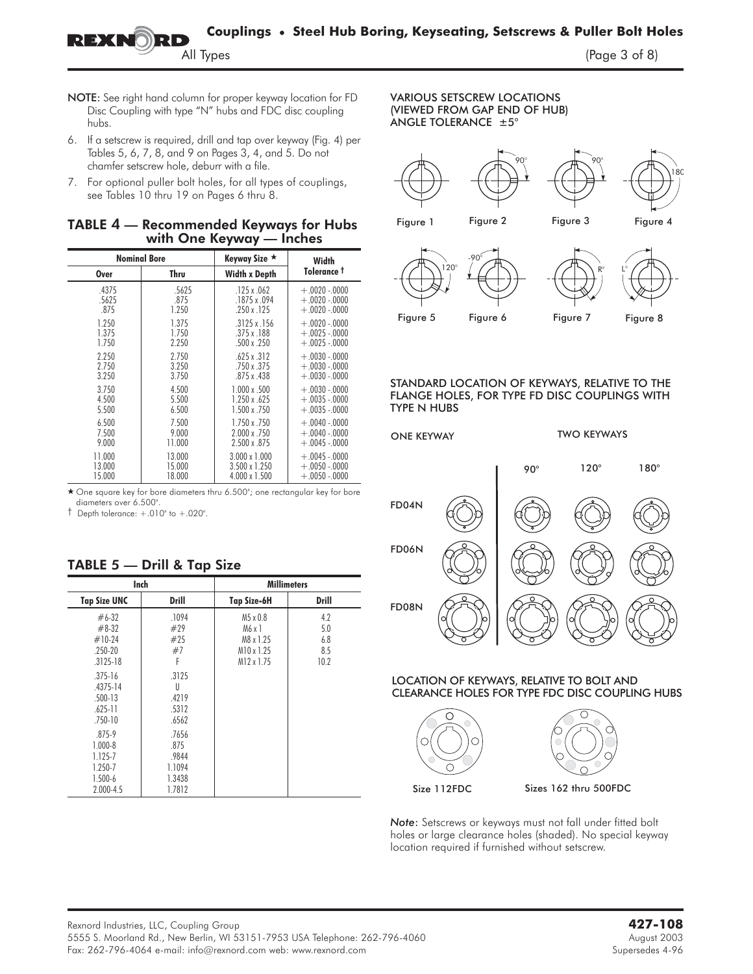- NOTE: See right hand column for proper keyway location for FD Disc Coupling with type "N" hubs and FDC disc coupling hubs.
- 6. If a setscrew is required, drill and tap over keyway (Fig. 4) per Tables 5, 6, 7, 8, and 9 on Pages 3, 4, and 5. Do not chamfer setscrew hole, deburr with a file.
- 7. For optional puller bolt holes, for all types of couplings, see Tables 10 thru 19 on Pages 6 thru 8.

#### TABLE **4** — Recommended Keyways for Hubs with One Keyway — Inches

|        | <b>Nominal Bore</b> | Keyway Size ★        | Width             |
|--------|---------------------|----------------------|-------------------|
| Over   | Thru                | <b>Width x Depth</b> | Tolerance †       |
| .4375  | .5625               | .125 x .062          | $+.0020-.0000$    |
| .5625  | .875                | $.1875 \times .094$  | $+.0020-.0000$    |
| .875   | 1.250               | $.250 \times .125$   | $+.0020-.0000$    |
| 1.250  | 1.375               | $.3125 \times .156$  | $+.0020-.0000$    |
| 1.375  | 1.750               | $.375 \times .188$   | $+.0025-.0000$    |
| 1.750  | 2.250               | $.500 \times .250$   | $+.0025-.0000$    |
| 2.250  | 2.750               | $.625 \times .312$   | $+.0030-.0000$    |
| 2.750  | 3.250               | .750 x .375          | $+.0030-.0000$    |
| 3.250  | 3.750               | $.875 \times .438$   | $+ .0030 - .0000$ |
| 3.750  | 4.500               | $1.000 \times .500$  | $+.0030-.0000$    |
| 4.500  | 5.500               | 1.250 x .625         | $+.0035-.0000$    |
| 5.500  | 6.500               | $1.500 \times 750$   | $+.0035-.0000$    |
| 6.500  | 7.500               | 1.750 x .750         | $+.0040-.0000$    |
| 7.500  | 9.000               | 2.000 x .750         | $+.0040-.0000$    |
| 9.000  | 11.000              | 2.500 x 875          | $+.0045-.0000$    |
| 11.000 | 13.000              | $3.000 \times 1.000$ | $+.0045-.0000$    |
| 13.000 | 15.000              | 3.500 x 1.250        | $+.0050-.0000$    |
| 15.000 | 18.000              | 4.000 x 1.500        | $+.0050-.0000$    |

- One square key for bore diameters thru 6.500"; one rectangular key for bore diameters over 6.500".

 $\dagger$  Depth tolerance:  $+.010$ " to  $+.020$ ".

|                                                                                     |                                  | <b>Millimeters</b>                                               |                                       | Inch                                                             |
|-------------------------------------------------------------------------------------|----------------------------------|------------------------------------------------------------------|---------------------------------------|------------------------------------------------------------------|
| FD08N                                                                               | <b>Drill</b>                     | <b>Tap Size-6H</b>                                               | <b>Drill</b>                          | <b>Tap Size UNC</b>                                              |
| O<br>O                                                                              | 4.2<br>5.0<br>6.8<br>8.5<br>10.2 | M5 x 0.8<br>M6x1<br>M8 x 1.25<br>M10 x 1.25<br>$M12 \times 1.75$ | .1094<br>#29<br>#25<br>#7             | $#6-32$<br>$#8-32$<br>$#10-24$<br>$.250 - 20$<br>$.3125 - 18$    |
| LOCATION OF KEYWAYS, RELATIVE TO BOLT AN<br>CLEARANCE HOLES FOR TYPE FDC DISC COUPL |                                  |                                                                  | .3125<br>U<br>.4219<br>.5312<br>.6562 | $.375 - 16$<br>.4375-14<br>$.500 - 13$<br>$.625 - 11$<br>.750-10 |
| Œ                                                                                   |                                  |                                                                  | .7656<br>.875<br>.9844<br>1.1094      | $.875 - 9$<br>$1.000 - 8$<br>1.125-7<br>1.250-7                  |
| Sizes 162 thru 500FDC<br>Size 112FDC                                                |                                  |                                                                  | 1.3438<br>1.7812                      | $1.500 - 6$<br>$2.000 - 4.5$                                     |

# TABLE 5 — Drill & Tap Size

#### **VARIOUS SETSCREW LOCATIONS** (VIEWED FROM GAP END OF HUB)  $\overline{N}$ ANGIF TOI FRANCE  $+5^{\circ}$ ANGLE TOLERANCE ±5°



 $\mathcal{F}$   $\mathcal{F}$   $\mathcal{F}$   $\mathcal{F}$   $\mathcal{F}$   $\mathcal{F}$   $\mathcal{F}$   $\mathcal{F}$   $\mathcal{F}$   $\mathcal{F}$   $\mathcal{F}$   $\mathcal{F}$   $\mathcal{F}$   $\mathcal{F}$   $\mathcal{F}$   $\mathcal{F}$   $\mathcal{F}$   $\mathcal{F}$   $\mathcal{F}$   $\mathcal{F}$   $\mathcal{F}$   $\mathcal{F}$   $\mathcal{F}$   $\mathcal{F}$   $\mathcal{$ 

#### STANDARD LOCATION OF KEYWAYS, RELATIVE TO THE FLANGE HOLES, FOR TYPE FD DISC COUPLINGS WITH **TYPE N HUBS** TYPE N HUBS



# LOCATION OF KEYWAYS, RELATIVE TO BOLT AND<br>CLEARANCE HOLES FOR TYPE FDC DISC COUPLING HUBS



*Note*: Setscrews or keyways must not fall under fitted bolt holes or large clearance holes (shaded). No special keyway location required if furnished without setscrew.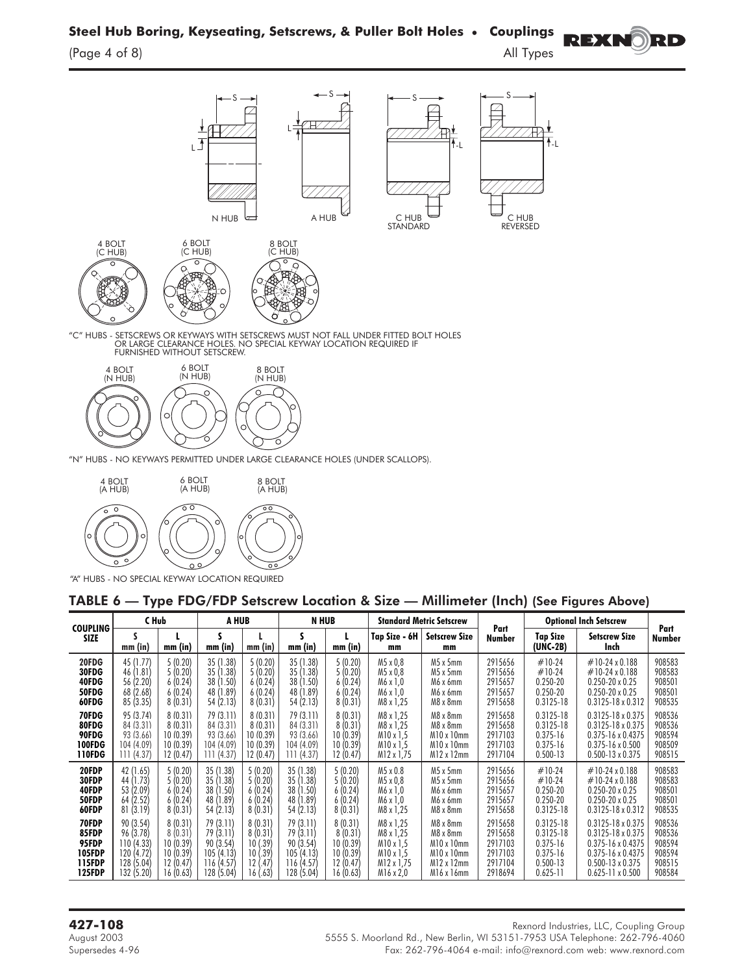**Steel Hub Boring, Keyseating, Setscrews, & Puller Bolt Holes** • **Couplings REXNO)** RD



"C" HUBS - SETSCREWS OR KEYWAYS WITH SETSCREWS MUST NOT FALL UNDER FITTED BOLT HOLES"<br>OR LARGE CLEARANCE HOLES. NO SPECIAL KEYWAY LOCATION REQUIRED IF<br>FURNISHED WITHOUT SETSCREW.



"N" HUBS - NO KEYWAYS PERMITTED UNDER LARGE CLEARANCE HOLES (UNDER SCALLOPS).



"A" HUBS - NO SPECIAL KEYWAY LOCATION REQUIRED

#### TABLE 6 — Type FDG/FDP Setscrew Location & Size — Millimeter (Inch) (See Figures Above)

| <b>COUPLING</b>                                                     | C Hub                                                                         |                                                                     | A HUB                                                                                        |                                                                 | <b>N HUB</b>                                                                       |                                                                    |                                                                                    | <b>Standard Metric Setscrew</b>                                                                              |                                                                |                                                                                                | <b>Optional Inch Setscrew</b>                                                                                                                                                  |                                                          |
|---------------------------------------------------------------------|-------------------------------------------------------------------------------|---------------------------------------------------------------------|----------------------------------------------------------------------------------------------|-----------------------------------------------------------------|------------------------------------------------------------------------------------|--------------------------------------------------------------------|------------------------------------------------------------------------------------|--------------------------------------------------------------------------------------------------------------|----------------------------------------------------------------|------------------------------------------------------------------------------------------------|--------------------------------------------------------------------------------------------------------------------------------------------------------------------------------|----------------------------------------------------------|
| <b>SIZE</b>                                                         | $mm$ (in)                                                                     | mm (in)                                                             | mm (in)                                                                                      | $mm$ (in)                                                       | S<br>mm (in)                                                                       | mm (in)                                                            | Tap Size - 6H<br>mm                                                                | <b>Setscrew Size</b><br>mm                                                                                   | Part<br>Number                                                 | <b>Tap Size</b><br>(UNC-2B)                                                                    | <b>Setscrew Size</b><br>Inch                                                                                                                                                   | Part<br>Number                                           |
| 20FDG<br>30FDG<br>40FDG<br>50FDG<br>60FDG                           | 45 (1.77)<br>46 (1.81)<br>56 (2.20)<br>68 (2.68)<br>85(3.35)                  | 5(0.20)<br>5(0.20)<br>6(0.24)<br>6(0.24)<br>8(0.31)                 | 35 (1.38)<br>.38 <sup>°</sup><br>35(<br>1.50<br>38 <sup>2</sup><br>1.89<br>48 (<br>54 (2.13) | 5(0.20)<br>5(0.20)<br>6(0.24)<br>6(0.24)<br>8(0.31)             | 35 (1.38)<br>35(<br>(1.38)<br>1.50<br>38 <sup>′</sup><br>1.89<br>48 (<br>54 (2.13) | 5(0.20)<br>5(0.20)<br>6(0.24)<br>6(0.24)<br>8(0.31)                | M5 x 0,8<br>M5 x 0,8<br>M6 x 1,0<br>M6 x 1,0<br>M8 x 1,25                          | $M5 \times 5$ mm<br>$M5 \times 5$ mm<br>M6 x 6mm<br>M6 x 6mm<br>M8 x 8mm                                     | 2915656<br>2915656<br>2915657<br>2915657<br>2915658            | $#10-24$<br>$#10-24$<br>0.250-20<br>$0.250 - 20$<br>$0.3125 - 18$                              | $\#$ 10-24 x 0.188<br>$\#$ 10-24 x 0.188<br>$0.250 - 20 \times 0.25$<br>$0.250 - 20 \times 0.25$<br>$0.3125 - 18 \times 0.312$                                                 | 908583<br>908583<br>908501<br>908501<br>908535           |
| 70FDG<br>80FDG<br>90FDG<br><b>100FDG</b><br>110FDG                  | 95 (3.74)<br>84(3.31)<br>93 (3.66)<br>104(409)<br>111(4.37)                   | 8(0.31)<br>8(0.31)<br>10(0.39)<br>10(0.39)<br>12(0.47)              | 79(3.11)<br>84 (3.31)<br>93 (3.66)<br>104 (4 09)<br>111 (4.37)                               | 8(0.31)<br>8(0.31)<br>10 (0.39)<br>10(0.39)<br>12 (0.47)        | 79(3.11)<br>84 (3.31)<br>93 (3.66)<br>104 (4 09)<br>111 (4.37)                     | 8(0.31)<br>8(0.31)<br>10(0.39)<br>10(0.39)<br>12(0.47)             | M8 x 1.25<br>M8 x 1,25<br>M10 x 1.5<br>$M10 \times 1.5$<br>M12 x 1,75              | $M8 \times 8$ mm<br>$M8 \times 8$ mm<br>$M10 \times 10$ mm<br>$M10 \times 10$ mm<br>$M12 \times 12$ mm       | 2915658<br>2915658<br>2917103<br>2917103<br>2917104            | $0.3125 - 18$<br>$0.3125 - 18$<br>$0.375 - 16$<br>$0.375 - 16$<br>$0.500 - 13$                 | $0.3125 - 18 \times 0.375$<br>$0.3125 - 18 \times 0.375$<br>$0.375 - 16 \times 0.4375$<br>$0.375 - 16 \times 0.500$<br>$0.500 - 13 \times 0.375$                               | 908536<br>908536<br>908594<br>908509<br>908515           |
| 20FDP<br>30FDP<br>40FDP<br>50FDP<br>60FDP                           | 42 (1.65)<br>(1.73)<br>44<br>53 (2.09)<br>64 (2.52)<br>81(3.19)               | 5(0.20)<br>5(0.20)<br>6(0.24)<br>6(0.24)<br>8(0.31)                 | 35 (1.38)<br>35(<br>.38'<br>.50 <sup>′</sup><br>38(1)<br>.89<br>48 (1<br>54(2.13)            | 5(0.20)<br>5(0.20)<br>6(0.24)<br>6(0.24)<br>8(0.31)             | 35 (1.38)<br>35(<br>.38)<br>38 (1.50)<br>48 (1.89)<br>54 (2.13)                    | 5(0.20)<br>5(0.20)<br>6(0.24)<br>6(0.24)<br>8(0.31)                | M5 x 0.8<br>M5 x 0.8<br>M6 x 1,0<br>M6 x 1,0<br>M8 x 1,25                          | $M5 \times 5$ mm<br>$M5 \times 5$ mm<br>M6 x 6mm<br>M6 x 6mm<br>M8 x 8mm                                     | 2915656<br>2915656<br>2915657<br>2915657<br>2915658            | $#10-24$<br>$#10-24$<br>$0.250 - 20$<br>$0.250 - 20$<br>$0.3125 - 18$                          | $\#$ 10-24 x 0.188<br>$\#$ 10-24 x 0.188<br>$0.250 - 20 \times 0.25$<br>$0.250 - 20 \times 0.25$<br>$0.3125 - 18 \times 0.312$                                                 | 908583<br>908583<br>908501<br>908501<br>908535           |
| 70FDP<br>85FDP<br>95FDP<br><b>105FDP</b><br>115FDP<br><b>125FDP</b> | 90 (3.54)<br>96 (3.78)<br>110(4.33)<br>120 (4.72)<br>128 (5.04)<br>132 (5.20) | 8(0.31)<br>8(0.31)<br>10(0.39)<br>10(0.39)<br>12(0.47)<br>16 (0.63) | 79 (3.11)<br>79 (3.11)<br>90(3.54)<br>105(4.13)<br>116 (4.57)<br>128 (5.04)                  | 8(0.31)<br>8(0.31)<br>10(0.39)<br>10(.39)<br>12(.47)<br>16(.63) | 79(3.11)<br>79 (3.11)<br>90(3.54)<br>105(4.13)<br>116 (4.57)<br>128 (5.04)         | 8(0.31)<br>8(0.31)<br>10(0.39)<br>10(0.39)<br>12(0.47)<br>16(0.63) | M8 x 1,25<br>M8 x 1.25<br>M10 x 1.5<br>$M10 \times 1.5$<br>M12 x 1,75<br>M16 x 2,0 | $M8 \times 8$ mm<br>M8 x 8mm<br>$M10 \times 10$ mm<br>$M10 \times 10$ mm<br>$M12 \times 12$ mm<br>M16 x 16mm | 2915658<br>2915658<br>2917103<br>2917103<br>2917104<br>2918694 | $0.3125 - 18$<br>$0.3125 - 18$<br>$0.375 - 16$<br>$0.375 - 16$<br>$0.500 - 13$<br>$0.625 - 11$ | $0.3125 - 18 \times 0.375$<br>$0.3125 - 18 \times 0.375$<br>$0.375 - 16 \times 0.4375$<br>$0.375 - 16 \times 0.4375$<br>$0.500 - 13 \times 0.375$<br>$0.625 - 11 \times 0.500$ | 908536<br>908536<br>908594<br>908594<br>908515<br>908584 |

Rexnord Industries, LLC, Coupling Group<br>August 2003 5555 S. Moorland Rd., New Berlin, WI 53151-7953 USA Telephone: 262-796-4060 Supersedes 4-96 Fax: 262-796-4064 e-mail: info@rexnord.com web: www.rexnord.com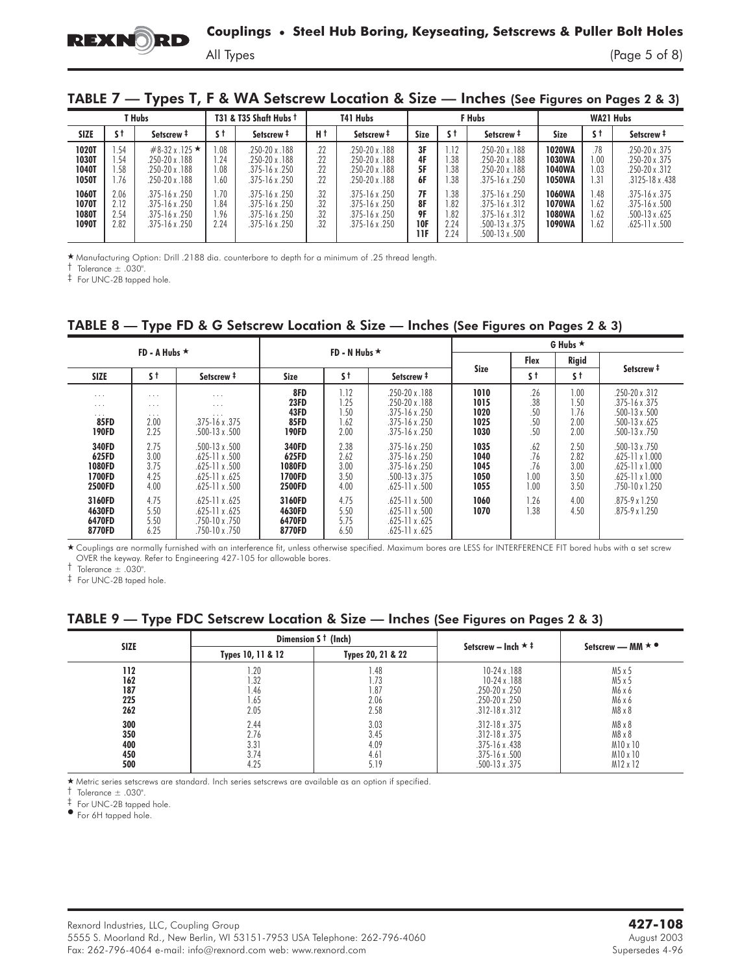$(Page 5 of 8)$ 

| TABLE 7 - Types T, F & WA Setscrew Location & Size - Inches (See Figures on Pages 2 & 3) |  |  |  |  |  |  |
|------------------------------------------------------------------------------------------|--|--|--|--|--|--|
|------------------------------------------------------------------------------------------|--|--|--|--|--|--|

|                                         |                              | T Hubs                                                                                |                              | T31 & T35 Shaft Hubs t                                                                  |                          | T41 Hubs                                                                        | F Hubs                              |                                   |                                                                                                              | WA21 Hubs                                                 |                           |                                                                            |
|-----------------------------------------|------------------------------|---------------------------------------------------------------------------------------|------------------------------|-----------------------------------------------------------------------------------------|--------------------------|---------------------------------------------------------------------------------|-------------------------------------|-----------------------------------|--------------------------------------------------------------------------------------------------------------|-----------------------------------------------------------|---------------------------|----------------------------------------------------------------------------|
| <b>SIZE</b>                             | s t                          | Setscrew <sup>#</sup>                                                                 | s t                          | Setscrew <sup>#</sup>                                                                   | Нt                       | Setscrew <sup>#</sup>                                                           | Size                                | s t                               | Setscrew <sup>#</sup>                                                                                        | <b>Size</b>                                               | s t                       | Setscrew <sup>#</sup>                                                      |
| <b>1020T</b><br>1030T<br>1040T<br>1050T | .54<br>.54<br>1.58<br>. 76   | $\#8-32 \times 125$ ★<br>$.250 - 20x$ . 188<br>$.250 - 20x$ . 188<br>$.250 - 20x.188$ | 0.08<br>1.24<br>0.08<br>.60  | $.250 - 20x$ . 188<br>$.250 - 20x$ . 188<br>$.375 - 16 \times .250$<br>$.375 - 16x.250$ | .22<br>.22<br>22<br>22   | 250-20 x 188<br>250-20 x 188<br>250-20 x 188<br>250-20 x 188                    | 3F<br>4F<br>5F<br>6F                | 112<br>.38<br>.38<br>.38          | $.250 - 20x$ . 188<br>$.250 - 20x$ . 188<br>$.250 - 20x$ . 188<br>$.375 - 16x$ .250                          | <b>1020WA</b><br><b>1030WA</b><br>1040WA<br><b>1050WA</b> | .78<br>.00<br>1.03<br>.31 | 250-20 x 375<br>250-20 x 375<br>.250-20 x .312<br>$.3125 - 18 \times .438$ |
| 1060T<br>1070T<br><b>1080T</b><br>1090T | 2.06<br>2.12<br>2.54<br>2.82 | $.375 - 16x.250$<br>$.375 - 16x.250$<br>$.375 - 16x.250$<br>$.375 - 16x.250$          | 1.70<br>1.84<br>1.96<br>2.24 | $.375 - 16x.250$<br>$.375 - 16x.250$<br>$.375 - 16 \times .250$<br>$.375 - 16x.250$     | .32<br>.32<br>.32<br>.32 | $.375 - 16x.250$<br>.375-16 x .250<br>$.375 - 16 \times .250$<br>.375-16 x .250 | 7F<br>8F<br>9F<br><b>10F</b><br>11F | .38<br>.82<br>.82<br>2.24<br>2.24 | $.375 - 16 \times .250$<br>$.375 - 16x.312$<br>$.375 - 16x.312$<br>$.500 - 13 \times .375$<br>.500-13 x .500 | 1060WA<br><b>1070WA</b><br>1080WA<br>1090WA               | .48<br>.62<br>.62<br>.62  | $.375 - 16x.375$<br>$.375 - 16x.500$<br>.500-13 x .625<br>.625-11 x .500   |

- Manufacturing Option: Drill .2188 dia. counterbore to depth for a minimum of .25 thread length.

 $\dagger$  Tolerance  $\pm$  .030".

‡ For UNC-2B tapped hole.

| TABLE 8 - Type FD & G Setscrew Location & Size - Inches (See Figures on Pages 2 & 3) |  |  |  |  |
|--------------------------------------------------------------------------------------|--|--|--|--|
|                                                                                      |  |  |  |  |

|                                                                             | FD - A Hubs $\star$                              |                                                                                                                            |                                                     | FD - N Hubs $\star$                  |                                                                                                                |                                      | G Hubs $\star$                    |                                      |                                                                                                                       |  |  |  |
|-----------------------------------------------------------------------------|--------------------------------------------------|----------------------------------------------------------------------------------------------------------------------------|-----------------------------------------------------|--------------------------------------|----------------------------------------------------------------------------------------------------------------|--------------------------------------|-----------------------------------|--------------------------------------|-----------------------------------------------------------------------------------------------------------------------|--|--|--|
|                                                                             |                                                  |                                                                                                                            |                                                     |                                      |                                                                                                                |                                      | <b>Flex</b>                       | <b>Rigid</b>                         | Setscrew <sup>#</sup>                                                                                                 |  |  |  |
| <b>SIZE</b>                                                                 | s t                                              | Setscrew <sup>#</sup>                                                                                                      | Size                                                | s t                                  | Setscrew <sup>#</sup>                                                                                          | <b>Size</b>                          | s t                               | s t                                  |                                                                                                                       |  |  |  |
| $\cdots$<br>$\sim$ $\sim$ $\sim$<br>$\cdots$<br><b>85FD</b><br><b>190FD</b> | $\cdots$<br>$\cdots$<br>$\cdots$<br>2.00<br>2.25 | $\cdots$<br>$\cdots$<br>$\cdots$<br>$.375 - 16x.375$<br>.500-13 x .500                                                     | 8FD<br><b>23FD</b><br>43FD<br><b>85FD</b><br>190FD  | 1.12<br>.25<br>.50<br>. . 62<br>2.00 | $.250 - 20x$ . 188<br>$.250 - 20x$ . 188<br>$.375 - 16x.250$<br>$.375 - 16x.250$<br>$.375 - 16x.250$           | 1010<br>1015<br>1020<br>1025<br>1030 | .26<br>.38<br>.50<br>.50<br>.50   | 1.00<br>1.50<br>1.76<br>2.00<br>2.00 | $.250 - 20 \times .312$<br>$.375 - 16x.375$<br>$.500 - 13 \times .500$<br>.500-13 x .625<br>.500-13 x .750            |  |  |  |
| 340FD<br>625FD<br>1080FD<br>1700FD<br><b>2500FD</b>                         | 2.75<br>3.00<br>3.75<br>4.25<br>4.00             | $.500 - 13 \times .500$<br>$.625 - 11 \times .500$<br>$.625 - 11 \times .500$<br>$.625 - 11 \times .625$<br>.625-11 x .500 | 340FD<br>625FD<br>1080FD<br>1700FD<br><b>2500FD</b> | 2.38<br>2.62<br>3.00<br>3.50<br>4.00 | $.375 - 16x.250$<br>$.375 - 16x.250$<br>$.375 - 16x.250$<br>$.500 - 13 \times .375$<br>$.625 - 11 \times .500$ | 1035<br>1040<br>1045<br>1050<br>1055 | .62<br>.76<br>.76<br>1.00<br>1.00 | 2.50<br>2.82<br>3.00<br>3.50<br>3.50 | $.500 - 13 \times .750$<br>.625-11 x 1.000<br>$.625 - 11 \times 1.000$<br>$.625 - 11 \times 1.000$<br>.750-10 x 1.250 |  |  |  |
| 3160FD<br>4630FD<br>6470FD<br>8770FD                                        | 4.75<br>5.50<br>5.50<br>6.25                     | $.625 - 11 \times .625$<br>$.625 - 11 \times .625$<br>$.750 - 10 \times .750$<br>.750-10 x .750                            | 3160FD<br>4630FD<br>6470FD<br>8770FD                | 4.75<br>5.50<br>5.75<br>6.50         | $.625 - 11 \times .500$<br>$.625 - 11 \times .500$<br>$.625 - 11 \times .625$<br>$.625 - 11 \times .625$       | 1060<br>1070                         | 1.26<br>1.38                      | 4.00<br>4.50                         | $.875 - 9 \times 1.250$<br>$.875 - 9 \times 1.250$                                                                    |  |  |  |

- Couplings are normally furnished with an interference fit, unless otherwise specified. Maximum bores are LESS for INTERFERENCE FIT bored hubs with a set screw OVER the keyway. Refer to Engineering 427-105 for allowable bores.

 $\dagger$  Tolerance  $\pm$  .030".

‡ For UNC-2B taped hole.

# TABLE 9 — Type FDC Setscrew Location & Size — Inches (See Figures on Pages 2 & 3)

|             |                   | Dimension S <sup>t</sup> (Inch) | Setscrew - Inch $\star$ ‡ |                               |  |
|-------------|-------------------|---------------------------------|---------------------------|-------------------------------|--|
| <b>SIZE</b> | Types 10, 11 & 12 | Types 20, 21 & 22               |                           | Setscrew - MM $\star \bullet$ |  |
| 112         | .20               | 1.48                            | $10-24 \times 188$        | M5 x 5                        |  |
| 162         | 1.32              | 1.73                            | $10-24x.188$              | M5 x 5                        |  |
| 187         | 1.46              | 1.87                            | $.250 - 20x.250$          | M6 x 6                        |  |
| 225         | 1.65              | 2.06                            | $.250 - 20x.250$          | M6 x 6                        |  |
| 262         | 2.05              | 2.58                            | $.312 - 18x.312$          | $M8 \times 8$                 |  |
| 300         | 2.44              | 3.03                            | $.312 - 18x.375$          | $M8 \times 8$                 |  |
| 350         | 2.76              | 3.45                            | $.312 - 18 \times .375$   | $M8 \times 8$                 |  |
| 400         | 3.31              | 4.09                            | $.375 - 16x.438$          | $M10 \times 10$               |  |
| 450         | 3.74              | 4.61                            | $.375 - 16x.500$          | $M10 \times 10$               |  |
| 500         | 4.25              | 5.19                            | .500-13 x .375            | M12 x 12                      |  |

- Metric series setscrews are standard. Inch series setscrews are available as an option if specified.

† Tolerance ± .030".

 $\frac{1}{2}$  For UNC-2B tapped hole.

For 6H tapped hole.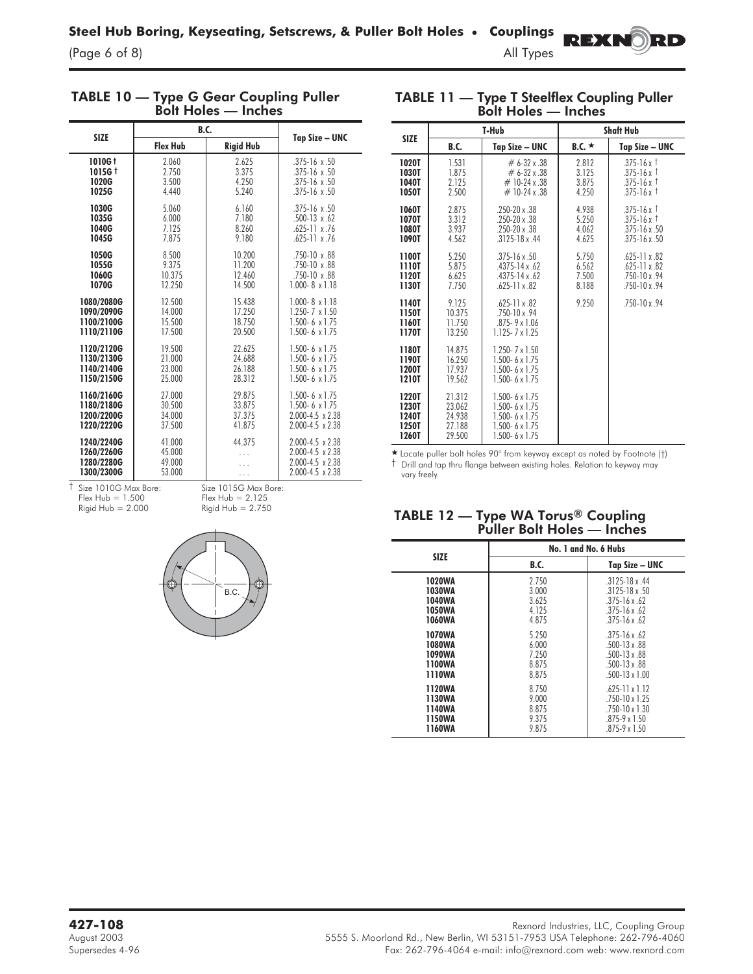(Page  $6$  of  $8$ )

| IABLE 10 —  | Type G Gear Coupling Puller<br><b>Bolt Holes - Inches</b> |                  |                         |  |  |  |  |  |  |  |
|-------------|-----------------------------------------------------------|------------------|-------------------------|--|--|--|--|--|--|--|
| <b>SIZE</b> | <b>B.C.</b>                                               |                  |                         |  |  |  |  |  |  |  |
|             | <b>Flex Hub</b>                                           | <b>Rigid Hub</b> | Tap Size - UNC          |  |  |  |  |  |  |  |
| 1010G t     | 2.060                                                     | 2.625            | $.375 - 16 \times .50$  |  |  |  |  |  |  |  |
| 1015G t     | 2.750                                                     | 3.375            | $.375 - 16 \times .50$  |  |  |  |  |  |  |  |
| 1020G       | 3.500                                                     | 4.250            | $.375 - 16 \times .50$  |  |  |  |  |  |  |  |
| 1025G       | 4.440                                                     | 5.240            | $.375 - 16 \times .50$  |  |  |  |  |  |  |  |
| 1030G       | 5.060                                                     | 6.160            | $.375 - 16 \times .50$  |  |  |  |  |  |  |  |
| 1035G       | 6.000                                                     | 7.180            | $.500 - 13 \times .62$  |  |  |  |  |  |  |  |
| 1040G       | 7.125                                                     | 8.260            | $.625 - 11 \times .76$  |  |  |  |  |  |  |  |
| 1045G       | 7.875                                                     | 9.180            | .625-11 x.76            |  |  |  |  |  |  |  |
| 1050G       | 8.500                                                     | 10.200           | 750-10 x 88             |  |  |  |  |  |  |  |
| 1055G       | 9.375                                                     | 11.200           | $.750 - 10 \times 88$   |  |  |  |  |  |  |  |
| 1060G       | 10.375                                                    | 12.460           | $.750 - 10 \times 88$   |  |  |  |  |  |  |  |
| 1070G       | 12.250                                                    | 14.500           | $1.000 - 8 \times 1.18$ |  |  |  |  |  |  |  |
| 1080/2080G  | 12.500                                                    | 15.438           | $1.000 - 8 \times 1.18$ |  |  |  |  |  |  |  |
| 1090/2090G  | 14.000                                                    | 17.250           | $1.250 - 7 \times 1.50$ |  |  |  |  |  |  |  |
| 1100/2100G  | 15.500                                                    | 18.750           | $1.500 - 6 \times 1.75$ |  |  |  |  |  |  |  |
| 1110/2110G  | 17.500                                                    | 20.500           | $1.500 - 6 \times 1.75$ |  |  |  |  |  |  |  |
| 1120/2120G  | 19.500                                                    | 22.625           | 1.500-6 $\times$ 1.75   |  |  |  |  |  |  |  |
| 1130/2130G  | 21.000                                                    | 24.688           | $1.500 - 6 \times 1.75$ |  |  |  |  |  |  |  |
| 1140/2140G  | 23.000                                                    | 26.188           | $1.500 - 6 \times 1.75$ |  |  |  |  |  |  |  |
| 1150/2150G  | 25.000                                                    | 28.312           | $1.500 - 6 \times 1.75$ |  |  |  |  |  |  |  |
| 1160/2160G  | 27.000                                                    | 29.875           | $1.500 - 6 \times 1.75$ |  |  |  |  |  |  |  |
| 1180/2180G  | 30.500                                                    | 33.875           | $1.500 - 6 \times 1.75$ |  |  |  |  |  |  |  |
| 1200/2200G  | 34.000                                                    | 37.375           | 2.000-4.5 x 2.38        |  |  |  |  |  |  |  |
| 1220/2220G  | 37.500                                                    | 41.875           | 2.000-4.5 x 2.38        |  |  |  |  |  |  |  |

# TABLE 10 — Type G Gear Coupling Puller

# TABLE 11 — Type T Steelflex Coupling Puller Bolt Holes — Inches

REXR

|                                           |                                                | T-Hub                                                                                                                               |                                  | <b>Shaft Hub</b>                                                                   |
|-------------------------------------------|------------------------------------------------|-------------------------------------------------------------------------------------------------------------------------------------|----------------------------------|------------------------------------------------------------------------------------|
| <b>SIZE</b>                               | <b>B.C.</b>                                    | Tap Size - UNC                                                                                                                      | B.C. $\star$                     | Tap Size - UNC                                                                     |
| 1020T<br><b>1030T</b><br>1040T<br>1050T   | 1.531<br>1.875<br>2.125<br>2.500               | $# 6-32 \times 38$<br>$# 6 - 32 \times 38$<br>$\#$ 10-24 x 38<br>$\#$ 10-24 x 38                                                    | 2.812<br>3.125<br>3.875<br>4.250 | $375-16x$ †<br>$.375 - 16x$ †<br>$.375 - 16x$ †<br>$.375 - 16x$ †                  |
| 1060T<br>1070T<br><b>1080T</b><br>1090T   | 2.875<br>3.312<br>3.937<br>4.562               | $.250 - 20x.38$<br>.250-20 x .38<br>$.250 - 20x.38$<br>$.3125 - 18x.44$                                                             | 4.938<br>5.250<br>4.062<br>4.625 | $.375 - 16x$ †<br>$.375 - 16x$ †<br>$.375 - 16x.50$<br>$.375 - 16x.50$             |
| 1100T<br>1110T<br>1120T<br>1130T          | 5.250<br>5.875<br>6.625<br>7.750               | $.375 - 16x.50$<br>$4375 - 14 \times 62$<br>$.4375 - 14x.62$<br>$.625 - 11 \times .82$                                              | 5.750<br>6562<br>7.500<br>8.188  | $.625 - 11 \times .82$<br>$625-11 \times 82$<br>$.750 - 10x.94$<br>$.750 - 10x.94$ |
| 1140T<br>1150T<br>1160T<br>1170T          | 9.125<br>10.375<br>11.750<br>13.250            | $.625 - 11 \times .82$<br>$.750 - 10x.94$<br>$.875 - 9 \times 1.06$<br>$1.125 - 7 \times 1.25$                                      | 9.250                            | 750-10 x 94                                                                        |
| 1180T<br>1190T<br>1200T<br>1210T          | 14.875<br>16.250<br>17.937<br>19.562           | $1.250 - 7 \times 1.50$<br>$1.500 - 6 \times 1.75$<br>$1.500 - 6 \times 1.75$<br>$1.500 - 6 \times 1.75$                            |                                  |                                                                                    |
| 1220T<br>1230T<br>1240T<br>1250T<br>1260T | 21.312<br>23.062<br>24.938<br>27.188<br>29.500 | $1.500 - 6 \times 1.75$<br>$1.500 - 6 \times 1.75$<br>$1.500 - 6 \times 1.75$<br>$1.500 - 6 \times 1.75$<br>$1.500 - 6 \times 1.75$ |                                  |                                                                                    |

- Locate puller bolt holes 90° from keyway except as noted by Footnote (†) † Drill and tap thru flange between existing holes. Relation to keyway may vary freely.

# $\frac{1}{1}$  Size 1010G Max Bore:<br>Flex Hub = 1.500 Size 1010G Max Bore: Size 1015G Max Bore:<br>Flex Hub = 1.500 Flex Hub = 2.125<br>Rigid Hub = 2.000 Rigid Hub = 2.750



**1240/2240G** 41.000 44.375 2.000-4.5 x 2.38<br>**1260/2260G** 45.000 ... 2.000-4.5 x 2.38 **1260/2260G** 45.000 ... 2.000-4.5 x 2.38 **1280/2280G** 49.000 ... 2.000-4.5 x 2.38 **1300/2300G** 53.000 ... 2.000-4.5 x 2.38

# Rigid Hub = 2.000 Rigid Hub = 2.750 **TABLE 12 — Type WA Torus® Coupling** Puller Bolt Holes — Inches

| <b>SIZE</b>   |             | No. 1 and No. 6 Hubs    |
|---------------|-------------|-------------------------|
|               | <b>B.C.</b> | Tap Size – UNC          |
| 1020WA        | 2.750       | $.3125 - 18x.44$        |
| 1030WA        | 3.000       | $3125 - 18 \times 50$   |
| 1040WA        | 3.625       | $.375 - 16x.62$         |
| 1050WA        | 4.125       | $.375 - 16 \times .62$  |
| 1060WA        | 4.875       | $.375 - 16 \times .62$  |
| <b>1070WA</b> | 5 2 5 0     | $375 - 16x62$           |
| 1080WA        | 6.000       | $.500 - 13 \times .88$  |
| 1090WA        | 7.250       | $.500 - 13 \times .88$  |
| 1100WA        | 8.875       | $.500 - 13 \times .88$  |
| 1110WA        | 8.875       | $.500 - 13 \times 1.00$ |
| 1120WA        | 8.750       | $.625 - 11 \times 1.12$ |
| 1130WA        | 9.000       | $.750 - 10 \times 1.25$ |
| 1140WA        | 8.875       | $.750 - 10 \times 1.30$ |
| <b>1150WA</b> | 9.375       | $.875 - 9 \times 1.50$  |
| 1160WA        | 9.875       | $.875 - 9 \times 1.50$  |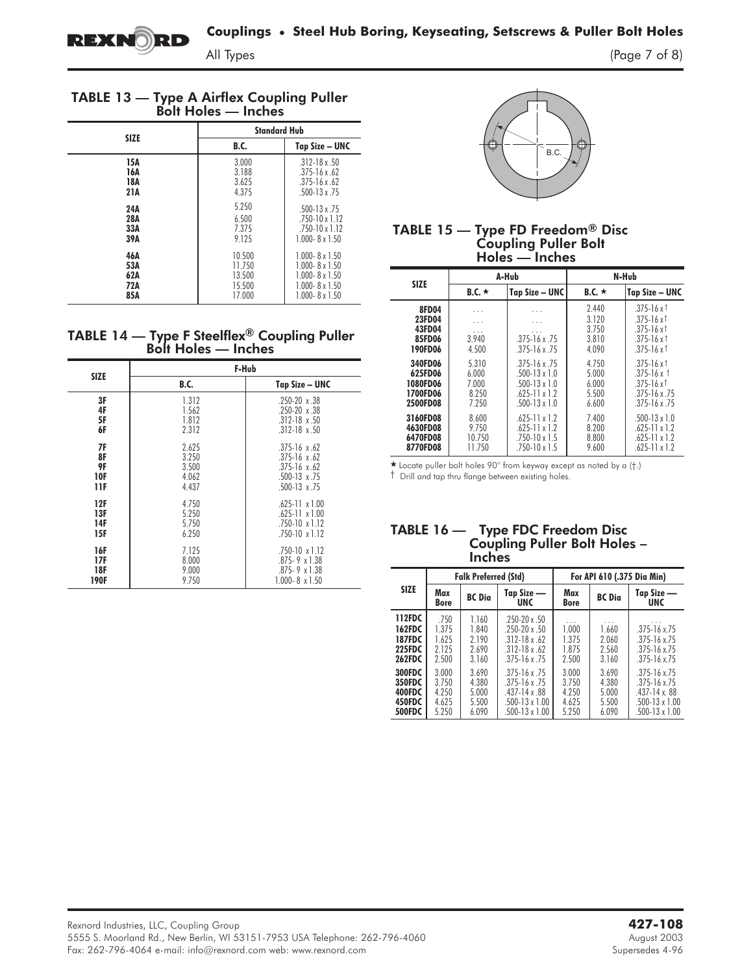

All Types (Page 7 of 8)

| <b>TABLE 13 - Type A Airflex Coupling Puller</b> |                            |  |  |
|--------------------------------------------------|----------------------------|--|--|
|                                                  | <b>Bolt Holes - Inches</b> |  |  |

|             | <b>Standard Hub</b> |                         |
|-------------|---------------------|-------------------------|
| <b>SIZE</b> | <b>B.C.</b>         | Tap Size – UNC          |
| 15A         | 3.000               | $.312 - 18x.50$         |
| 16A         | 3.188               | $.375 - 16 \times .62$  |
| 18A         | 3.625               | $.375 - 16 \times .62$  |
| 21A         | 4.375               | $.500 - 13 \times .75$  |
| 24A         | 5.250               | $.500 - 13 \times .75$  |
| 28A         | 6.500               | $.750 - 10 \times 1.12$ |
| 33A         | 7.375               | $.750 - 10 \times 1.12$ |
| 39A         | 9.125               | $1.000 - 8 \times 1.50$ |
| 46A         | 10.500              | $1.000 - 8 \times 1.50$ |
| 53A         | 11.750              | $1.000 - 8 \times 1.50$ |
| 62A         | 13.500              | $1.000 - 8 \times 1.50$ |
| 72A         | 15.500              | $1.000 - 8 \times 1.50$ |
| 85A         | 17.000              | $1.000 - 8 \times 1.50$ |

# TABLE 14 — Type F Steelflex® Coupling Puller Bolt Holes — Inches

| <b>SIZE</b><br>3F<br>4F<br>5F<br>6F<br>7F<br>8F<br>9F<br><b>10F</b><br>11F<br>12F<br>13F<br>14F<br><b>15F</b> | F-Hub                                     |                                                                                                                              |  |  |  |  |
|---------------------------------------------------------------------------------------------------------------|-------------------------------------------|------------------------------------------------------------------------------------------------------------------------------|--|--|--|--|
|                                                                                                               | <b>B.C.</b>                               | Tap Size – UNC                                                                                                               |  |  |  |  |
|                                                                                                               | 1.312<br>1.562<br>1.812<br>2.312          | $.250 - 20 \times .38$<br>$.250 - 20 \times .38$<br>$.312 - 18 \times .50$<br>$.312 - 18 \times .50$                         |  |  |  |  |
|                                                                                                               | 2.625<br>3.250<br>3.500<br>4.062<br>4.437 | $.375 - 16 \times .62$<br>$.375 - 16 \times 62$<br>$.375 - 16 \times 62$<br>$.500 - 13 \times .75$<br>$.500 - 13 \times .75$ |  |  |  |  |
|                                                                                                               | 4.750<br>5.250<br>5.750<br>6.250          | $.625 - 11 \times 1.00$<br>$.625 - 11 \times 1.00$<br>$.750 - 10 \times 1.12$<br>$.750 - 10 \times 1.12$                     |  |  |  |  |
| 16F<br>17F<br>18F<br><b>190F</b>                                                                              | 7.125<br>8.000<br>9.000<br>9.750          | $.750 - 10 \times 1.12$<br>$.875 - 9 \times 1.38$<br>$.875 - 9 \times 1.38$<br>$1.000 - 8 \times 1.50$                       |  |  |  |  |



#### TABLE 15 — Type FD Freedom $^\circledR$  Disc Coupling Puller Bolt Holes — Inches

| <b>SIZE</b>  |                                | A-Hub                  | N-Hub        |                           |  |  |
|--------------|--------------------------------|------------------------|--------------|---------------------------|--|--|
|              | $B.C. \star$<br>Tap Size - UNC |                        | B.C. $\star$ | Tap Size – UNC            |  |  |
| <b>8FD04</b> | .                              | .                      | 2.440        | $.375 - 16x$ <sup>†</sup> |  |  |
| 23FD04       | .                              | .                      | 3.120        | $.375 - 16x$              |  |  |
| 43FD04       | .                              | .                      | 3.750        | $.375 - 16x$              |  |  |
| 85FD06       | 3.940                          | $.375 - 16x.75$        | 3.810        | $.375 - 16x$ †            |  |  |
| 190FD06      | 4.500                          | $.375 - 16 \times .75$ | 4.090        | $.375 - 16x$ <sup>†</sup> |  |  |
| 340FD06      | 5.310                          | $.375 - 16x.75$        | 4.750        | $.375 - 16x$ <sup>†</sup> |  |  |
| 625FD06      | 6.000                          | $.500 - 13 \times 1.0$ | 5.000        | $.375 - 16x$ †            |  |  |
| 1080FD06     | 7.000                          | $.500 - 13 \times 1.0$ | 6.000        | $.375 - 16x$              |  |  |
| 1700FD06     | 8.250                          | $625-11 \times 12$     | 5.500        | $.375 - 16 \times .75$    |  |  |
| 2500FD08     | 7.250                          | $.500 - 13 \times 1.0$ | 6.600        | $.375 - 16 \times .75$    |  |  |
| 3160FD08     | 8.600                          | $.625 - 11 \times 1.2$ | 7.400        | $.500 - 13 \times 1.0$    |  |  |
| 4630FD08     | 9.750                          | $.625 - 11 \times 1.2$ | 8.200        | $.625 - 11 \times 1.2$    |  |  |
| 6470FD08     | 10.750                         | $.750 - 10 \times 1.5$ | 8.800        | $.625 - 11 \times 1.2$    |  |  |
| 8770FD08     | 11.750                         | $.750 - 10 \times 1.5$ | 9.600        | $.625 - 11 \times 1.2$    |  |  |

- Locate puller bolt holes 90° from keyway except as noted by a (†.)

† Drill and tap thru flange between existing holes.

#### TABLE 16 — Type FDC Freedom Disc Coupling Puller Bolt Holes – **Inches**

|                                                                            |                                           | <b>Falk Preferred (Std)</b>                 |                                                                                                                                  | For API 610 (.375 Dia Min)                |                                           |                                                                                                                         |  |
|----------------------------------------------------------------------------|-------------------------------------------|---------------------------------------------|----------------------------------------------------------------------------------------------------------------------------------|-------------------------------------------|-------------------------------------------|-------------------------------------------------------------------------------------------------------------------------|--|
| <b>SIZE</b>                                                                | Max<br><b>Bore</b>                        | <b>BC</b> Dia                               | Tap Size -<br><b>UNC</b>                                                                                                         | Max<br><b>Bore</b>                        | <b>BC</b> Dia                             | Tap Size —<br><b>UNC</b>                                                                                                |  |
| 112FDC<br><b>162FDC</b><br><b>187FDC</b><br><b>225FDC</b><br><b>262FDC</b> | .750<br>1.375<br>1625<br>2.125<br>2.500   | 1.160<br>1.840<br>2 1 9 0<br>2.690<br>3.160 | $.250 - 20x.50$<br>$.250 - 20x.50$<br>$.312 - 18 \times .62$<br>$.312 - 18 \times .62$<br>$.375 - 16 \times .75$                 | 1.000<br>1375<br>1.875<br>2.500           | 1.660<br>2.060<br>2.560<br>3.160          | $.375 - 16 \times 75$<br>$.375 - 16 \times 75$<br>$.375 - 16 \times 75$<br>$.375 - 16 \times 75$                        |  |
| 300FDC<br>350FDC<br>400FDC<br>450FDC<br><b>500FDC</b>                      | 3.000<br>3.750<br>4.250<br>4.625<br>5.250 | 3.690<br>4.380<br>5.000<br>5.500<br>6.090   | $.375 - 16 \times .75$<br>$.375 - 16 \times .75$<br>$.437 - 14 \times .88$<br>$.500 - 13 \times 1.00$<br>$.500 - 13 \times 1.00$ | 3.000<br>3.750<br>4.250<br>4.625<br>5.250 | 3.690<br>4.380<br>5.000<br>5.500<br>6.090 | $.375 - 16 \times 75$<br>$.375 - 16 \times 75$<br>$.437 - 14x.88$<br>$.500 - 13 \times 1.00$<br>$.500 - 13 \times 1.00$ |  |